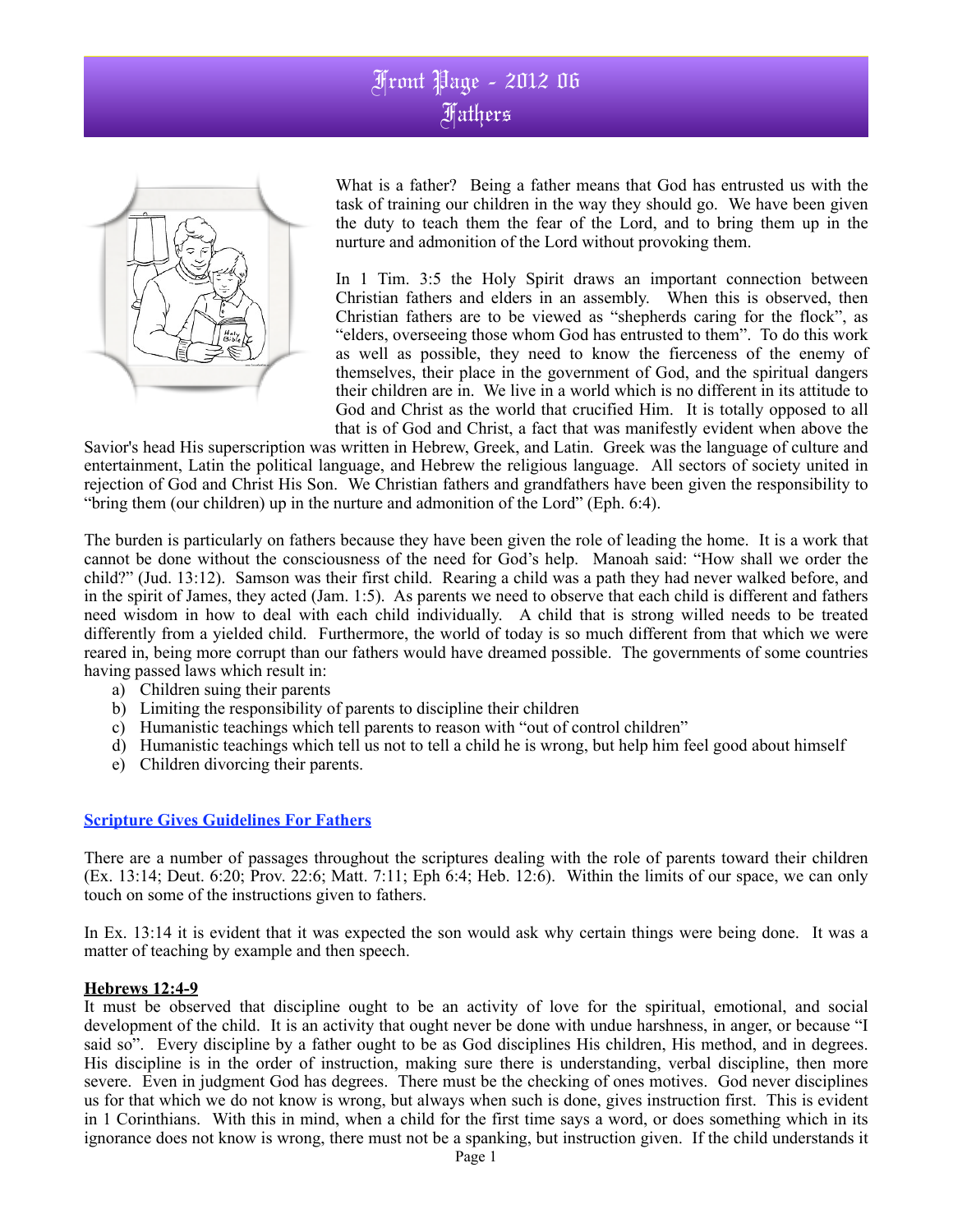## Front Page - 2012 06 Fathers



What is a father? Being a father means that God has entrusted us with the task of training our children in the way they should go. We have been given the duty to teach them the fear of the Lord, and to bring them up in the nurture and admonition of the Lord without provoking them.

In 1 Tim. 3:5 the Holy Spirit draws an important connection between Christian fathers and elders in an assembly. When this is observed, then Christian fathers are to be viewed as "shepherds caring for the flock", as "elders, overseeing those whom God has entrusted to them". To do this work as well as possible, they need to know the fierceness of the enemy of themselves, their place in the government of God, and the spiritual dangers their children are in. We live in a world which is no different in its attitude to God and Christ as the world that crucified Him. It is totally opposed to all that is of God and Christ, a fact that was manifestly evident when above the

Savior's head His superscription was written in Hebrew, Greek, and Latin. Greek was the language of culture and entertainment, Latin the political language, and Hebrew the religious language. All sectors of society united in rejection of God and Christ His Son. We Christian fathers and grandfathers have been given the responsibility to "bring them (our children) up in the nurture and admonition of the Lord" (Eph. 6:4).

The burden is particularly on fathers because they have been given the role of leading the home. It is a work that cannot be done without the consciousness of the need for God's help. Manoah said: "How shall we order the child?" (Jud. 13:12). Samson was their first child. Rearing a child was a path they had never walked before, and in the spirit of James, they acted (Jam. 1:5). As parents we need to observe that each child is different and fathers need wisdom in how to deal with each child individually. A child that is strong willed needs to be treated differently from a yielded child. Furthermore, the world of today is so much different from that which we were reared in, being more corrupt than our fathers would have dreamed possible. The governments of some countries having passed laws which result in:

- a) Children suing their parents
- b) Limiting the responsibility of parents to discipline their children
- c) Humanistic teachings which tell parents to reason with "out of control children"
- d) Humanistic teachings which tell us not to tell a child he is wrong, but help him feel good about himself
- e) Children divorcing their parents.

#### **Scripture Gives Guidelines For Fathers**

There are a number of passages throughout the scriptures dealing with the role of parents toward their children (Ex. 13:14; Deut. 6:20; Prov. 22:6; Matt. 7:11; Eph 6:4; Heb. 12:6). Within the limits of our space, we can only touch on some of the instructions given to fathers.

In Ex. 13:14 it is evident that it was expected the son would ask why certain things were being done. It was a matter of teaching by example and then speech.

#### **Hebrews 12:4-9**

It must be observed that discipline ought to be an activity of love for the spiritual, emotional, and social development of the child. It is an activity that ought never be done with undue harshness, in anger, or because "I said so". Every discipline by a father ought to be as God disciplines His children, His method, and in degrees. His discipline is in the order of instruction, making sure there is understanding, verbal discipline, then more severe. Even in judgment God has degrees. There must be the checking of ones motives. God never disciplines us for that which we do not know is wrong, but always when such is done, gives instruction first. This is evident in 1 Corinthians. With this in mind, when a child for the first time says a word, or does something which in its ignorance does not know is wrong, there must not be a spanking, but instruction given. If the child understands it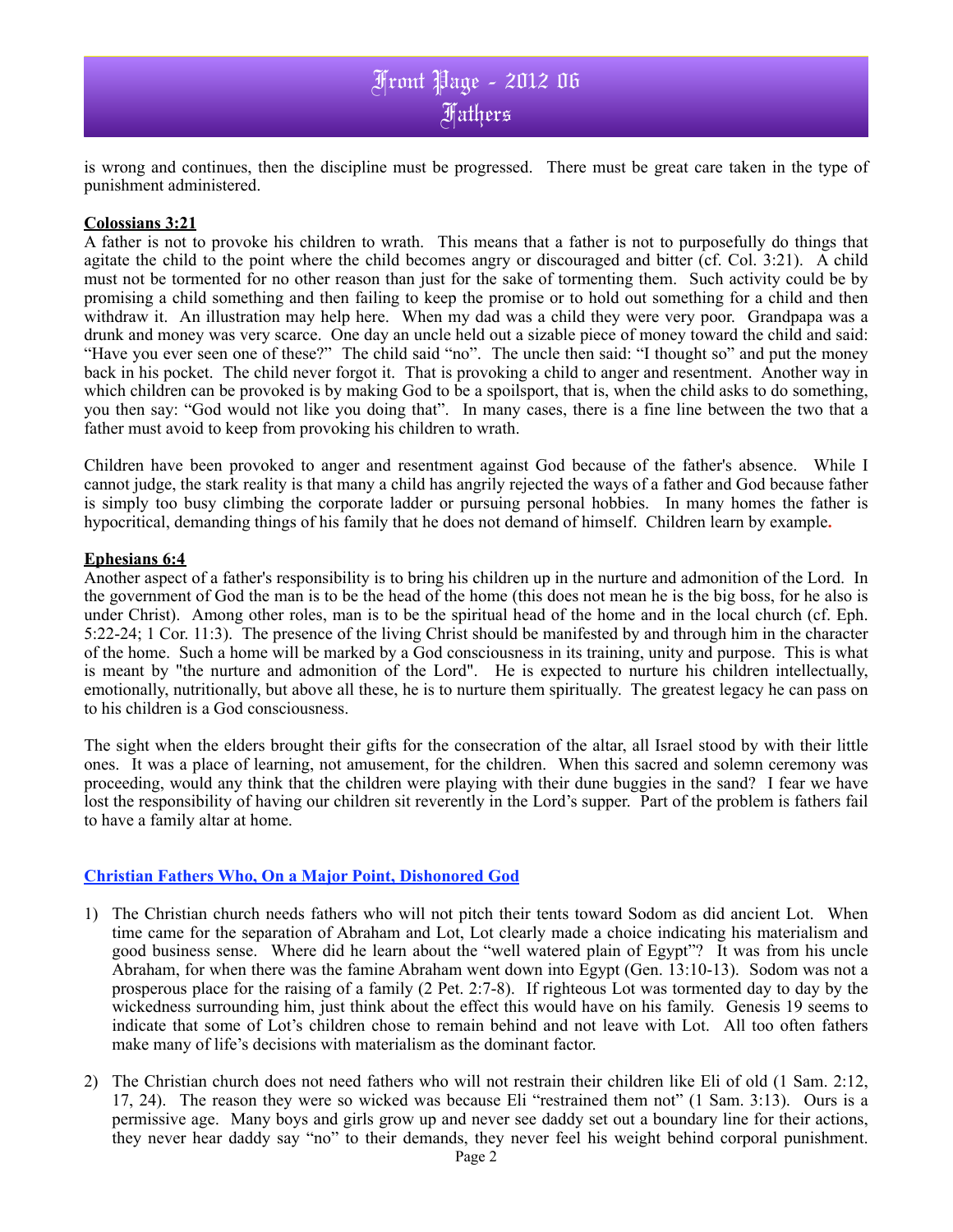# Front Page - 2012 06 **Fathers**

is wrong and continues, then the discipline must be progressed. There must be great care taken in the type of punishment administered.

## **Colossians 3:21**

A father is not to provoke his children to wrath. This means that a father is not to purposefully do things that agitate the child to the point where the child becomes angry or discouraged and bitter (cf. Col. 3:21). A child must not be tormented for no other reason than just for the sake of tormenting them. Such activity could be by promising a child something and then failing to keep the promise or to hold out something for a child and then withdraw it. An illustration may help here. When my dad was a child they were very poor. Grandpapa was a drunk and money was very scarce. One day an uncle held out a sizable piece of money toward the child and said: "Have you ever seen one of these?" The child said "no". The uncle then said: "I thought so" and put the money back in his pocket. The child never forgot it. That is provoking a child to anger and resentment. Another way in which children can be provoked is by making God to be a spoilsport, that is, when the child asks to do something, you then say: "God would not like you doing that". In many cases, there is a fine line between the two that a father must avoid to keep from provoking his children to wrath.

Children have been provoked to anger and resentment against God because of the father's absence. While I cannot judge, the stark reality is that many a child has angrily rejected the ways of a father and God because father is simply too busy climbing the corporate ladder or pursuing personal hobbies. In many homes the father is hypocritical, demanding things of his family that he does not demand of himself. Children learn by example**.**

### **Ephesians 6:4**

Another aspect of a father's responsibility is to bring his children up in the nurture and admonition of the Lord. In the government of God the man is to be the head of the home (this does not mean he is the big boss, for he also is under Christ). Among other roles, man is to be the spiritual head of the home and in the local church (cf. Eph. 5:22-24; 1 Cor. 11:3). The presence of the living Christ should be manifested by and through him in the character of the home. Such a home will be marked by a God consciousness in its training, unity and purpose. This is what is meant by "the nurture and admonition of the Lord". He is expected to nurture his children intellectually, emotionally, nutritionally, but above all these, he is to nurture them spiritually. The greatest legacy he can pass on to his children is a God consciousness.

The sight when the elders brought their gifts for the consecration of the altar, all Israel stood by with their little ones. It was a place of learning, not amusement, for the children. When this sacred and solemn ceremony was proceeding, would any think that the children were playing with their dune buggies in the sand? I fear we have lost the responsibility of having our children sit reverently in the Lord's supper. Part of the problem is fathers fail to have a family altar at home.

## **Christian Fathers Who, On a Major Point, Dishonored God**

- 1) The Christian church needs fathers who will not pitch their tents toward Sodom as did ancient Lot. When time came for the separation of Abraham and Lot, Lot clearly made a choice indicating his materialism and good business sense. Where did he learn about the "well watered plain of Egypt"? It was from his uncle Abraham, for when there was the famine Abraham went down into Egypt (Gen. 13:10-13). Sodom was not a prosperous place for the raising of a family (2 Pet. 2:7-8). If righteous Lot was tormented day to day by the wickedness surrounding him, just think about the effect this would have on his family. Genesis 19 seems to indicate that some of Lot's children chose to remain behind and not leave with Lot. All too often fathers make many of life's decisions with materialism as the dominant factor.
- 2) The Christian church does not need fathers who will not restrain their children like Eli of old (1 Sam. 2:12, 17, 24). The reason they were so wicked was because Eli "restrained them not" (1 Sam. 3:13). Ours is a permissive age. Many boys and girls grow up and never see daddy set out a boundary line for their actions, they never hear daddy say "no" to their demands, they never feel his weight behind corporal punishment.